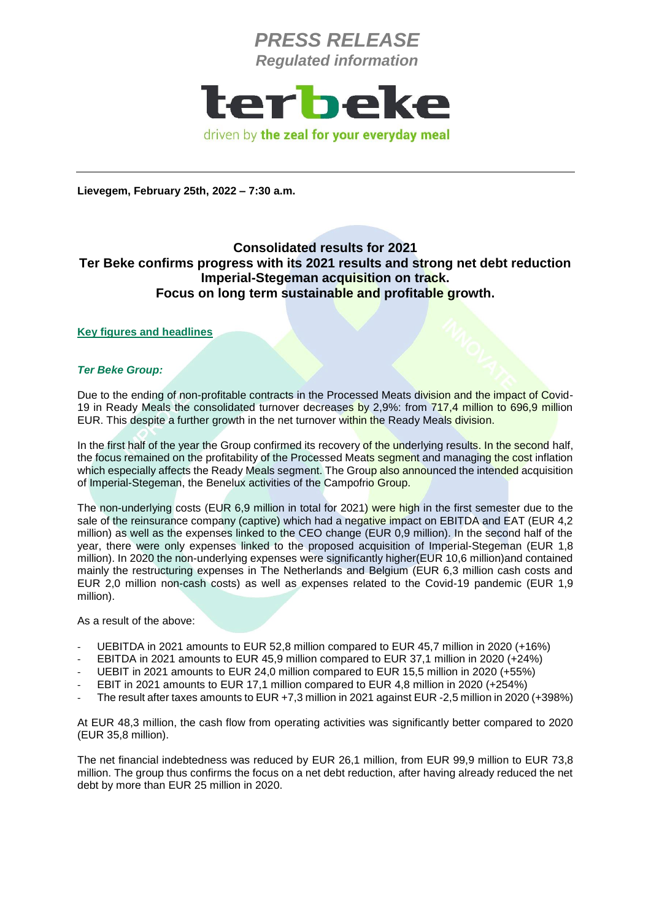

**Lievegem, February 25th, 2022 – 7:30 a.m.**

### **Consolidated results for 2021 Ter Beke confirms progress with its 2021 results and strong net debt reduction Imperial-Stegeman acquisition on track. Focus on long term sustainable and profitable growth.**

#### **Key figures and headlines**

#### *Ter Beke Group:*

Due to the ending of non-profitable contracts in the Processed Meats division and the impact of Covid-19 in Ready Meals the consolidated turnover decreases by 2,9%: from 717,4 million to 696,9 million EUR. This despite a further growth in the net turnover within the Ready Meals division.

In the first half of the year the Group confirmed its recovery of the underlying results. In the second half, the focus remained on the profitability of the Processed Meats segment and managing the cost inflation which especially affects the Ready Meals segment. The Group also announced the intended acquisition of Imperial-Stegeman, the Benelux activities of the Campofrio Group.

The non-underlying costs (EUR 6,9 million in total for 2021) were high in the first semester due to the sale of the reinsurance company (captive) which had a negative impact on EBITDA and EAT (EUR 4.2 million) as well as the expenses linked to the CEO change (EUR 0,9 million). In the second half of the year, there were only expenses linked to the proposed acquisition of Imperial-Stegeman (EUR 1,8 million). In 2020 the non-underlying expenses were significantly higher(EUR 10,6 million)and contained mainly the restructuring expenses in The Netherlands and Belgium (EUR 6,3 million cash costs and EUR 2,0 million non-cash costs) as well as expenses related to the Covid-19 pandemic (EUR 1,9 million).

As a result of the above:

- UEBITDA in 2021 amounts to EUR 52,8 million compared to EUR 45,7 million in 2020 (+16%)
- EBITDA in 2021 amounts to EUR 45.9 million compared to EUR 37.1 million in 2020 (+24%)
- UEBIT in 2021 amounts to EUR 24,0 million compared to EUR 15,5 million in 2020 (+55%)
- EBIT in 2021 amounts to EUR 17.1 million compared to EUR 4.8 million in 2020 (+254%)
- The result after taxes amounts to EUR +7,3 million in 2021 against EUR -2,5 million in 2020 (+398%)

At EUR 48,3 million, the cash flow from operating activities was significantly better compared to 2020 (EUR 35,8 million).

The net financial indebtedness was reduced by EUR 26,1 million, from EUR 99,9 million to EUR 73,8 million. The group thus confirms the focus on a net debt reduction, after having already reduced the net debt by more than EUR 25 million in 2020.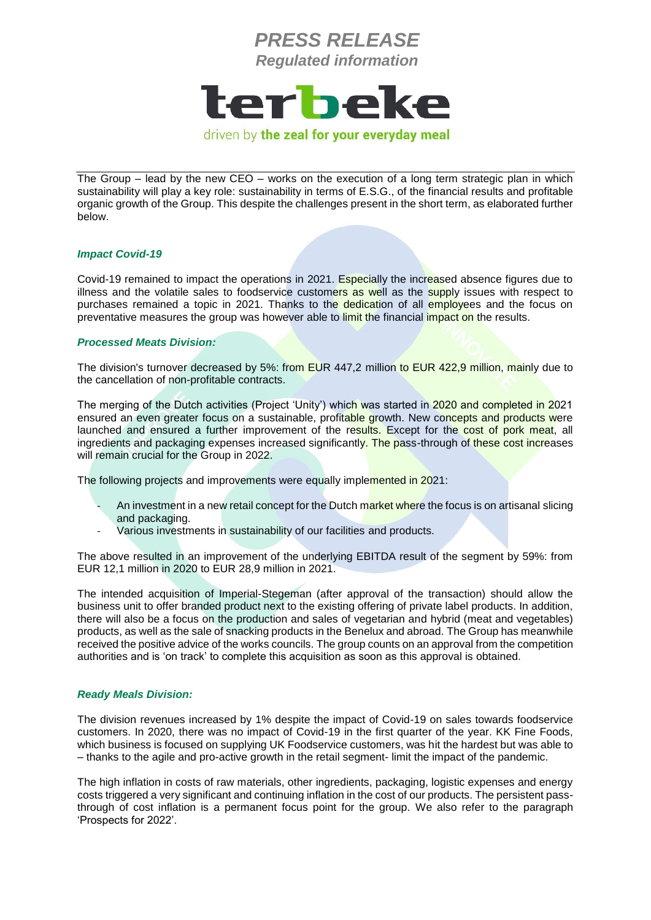

The Group – lead by the new CEO – works on the execution of a long term strategic plan in which sustainability will play a key role: sustainability in terms of E.S.G., of the financial results and profitable organic growth of the Group. This despite the challenges present in the short term, as elaborated further below.

#### *Impact Covid-19*

Covid-19 remained to impact the operations in 2021. Especially the increased absence figures due to illness and the volatile sales to foodservice customers as well as the supply issues with respect to purchases remained a topic in 2021. Thanks to the dedication of all employees and the focus on preventative measures the group was however able to limit the financial impact on the results.

#### *Processed Meats Division:*

The division's turnover decreased by 5%: from EUR 447,2 million to EUR 422,9 million, mainly due to the cancellation of non-profitable contracts.

The merging of the Dutch activities (Project 'Unity') which was started in 2020 and completed in 2021 ensured an even greater focus on a sustainable, profitable growth. New concepts and products were launched and ensured a further improvement of the results. Except for the cost of pork meat, all ingredients and packaging expenses increased significantly. The pass-through of these cost increases will remain crucial for the Group in 2022.

The following projects and improvements were equally implemented in 2021:

- An investment in a new retail concept for the Dutch market where the focus is on artisanal slicing and packaging.
- Various investments in sustainability of our facilities and products.

The above resulted in an improvement of the underlying EBITDA result of the segment by 59%: from EUR 12,1 million in 2020 to EUR 28,9 million in 2021.

The intended acquisition of Imperial-Stegeman (after approval of the transaction) should allow the business unit to offer branded product next to the existing offering of private label products. In addition, there will also be a focus on the production and sales of vegetarian and hybrid (meat and vegetables) products, as well as the sale of snacking products in the Benelux and abroad. The Group has meanwhile received the positive advice of the works councils. The group counts on an approval from the competition authorities and is 'on track' to complete this acquisition as soon as this approval is obtained.

#### *Ready Meals Division:*

The division revenues increased by 1% despite the impact of Covid-19 on sales towards foodservice customers. In 2020, there was no impact of Covid-19 in the first quarter of the year. KK Fine Foods, which business is focused on supplying UK Foodservice customers, was hit the hardest but was able to – thanks to the agile and pro-active growth in the retail segment- limit the impact of the pandemic.

The high inflation in costs of raw materials, other ingredients, packaging, logistic expenses and energy costs triggered a very significant and continuing inflation in the cost of our products. The persistent passthrough of cost inflation is a permanent focus point for the group. We also refer to the paragraph 'Prospects for 2022'.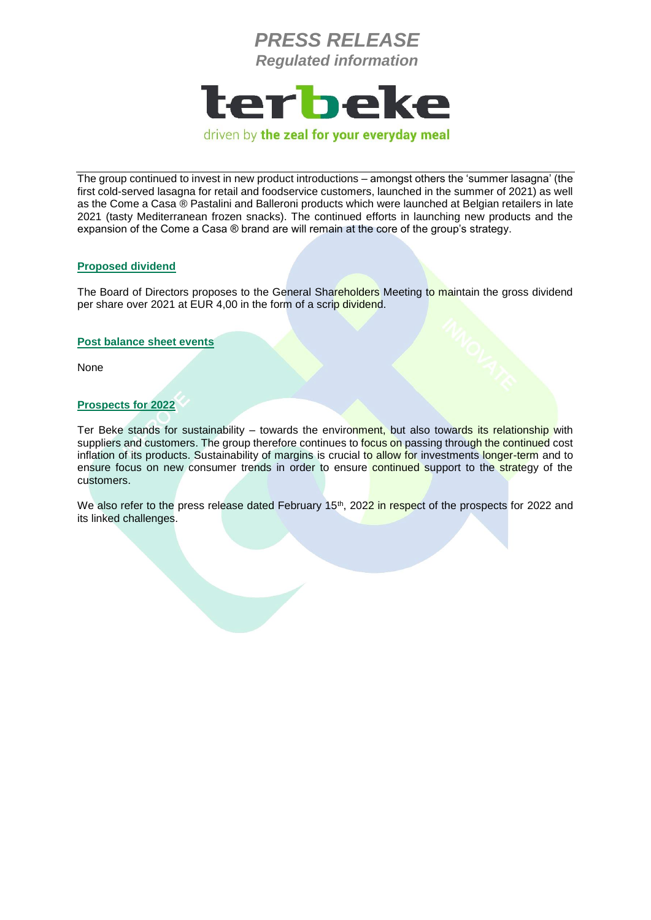

driven by the zeal for your everyday meal

The group continued to invest in new product introductions – amongst others the 'summer lasagna' (the first cold-served lasagna for retail and foodservice customers, launched in the summer of 2021) as well as the Come a Casa ® Pastalini and Balleroni products which were launched at Belgian retailers in late 2021 (tasty Mediterranean frozen snacks). The continued efforts in launching new products and the expansion of the Come a Casa ® brand are will remain at the core of the group's strategy.

### **Proposed dividend**

The Board of Directors proposes to the General Shareholders Meeting to maintain the gross dividend per share over 2021 at EUR 4,00 in the form of a scrip dividend.

### **Post balance sheet events**

None

### **Prospects for 2022**

Ter Beke stands for sustainability – towards the environment, but also towards its relationship with suppliers and customers. The group therefore continues to focus on passing through the continued cost inflation of its products. Sustainability of margins is crucial to allow for investments longer-term and to ensure focus on new consumer trends in order to ensure continued support to the strategy of the customers.

We also refer to the press release dated February 15<sup>th</sup>, 2022 in respect of the prospects for 2022 and its linked challenges.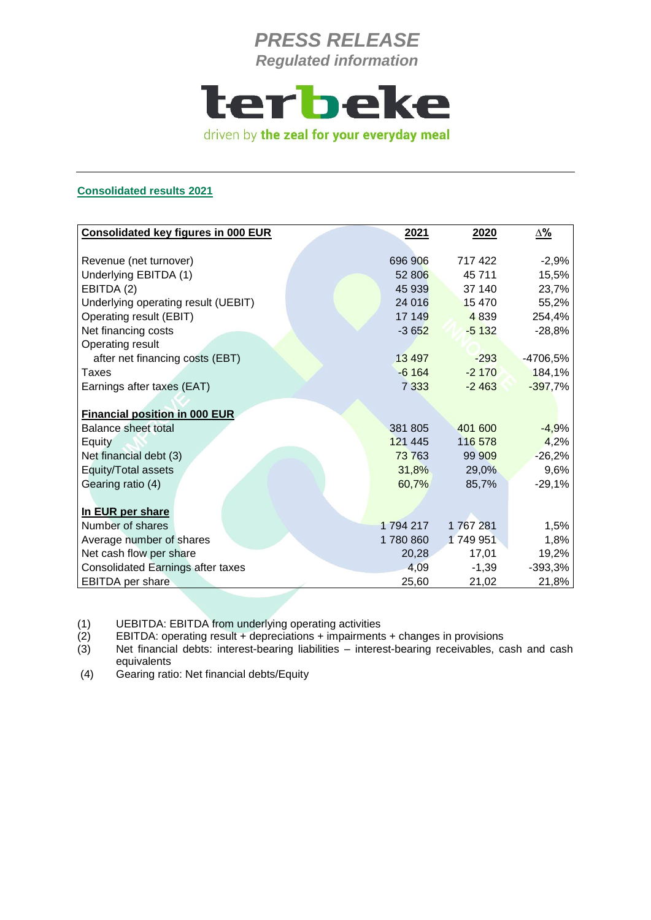

### **Consolidated results 2021**

| <b>Consolidated key figures in 000 EUR</b> | 2021     | 2020    | <u>Δ%</u> |
|--------------------------------------------|----------|---------|-----------|
|                                            |          |         |           |
| Revenue (net turnover)                     | 696 906  | 717422  | $-2,9%$   |
| Underlying EBITDA (1)                      | 52 806   | 45 711  | 15,5%     |
| EBITDA (2)                                 | 45 939   | 37 140  | 23,7%     |
| Underlying operating result (UEBIT)        | 24 016   | 15 4 70 | 55,2%     |
| Operating result (EBIT)                    | 17 149   | 4 8 3 9 | 254,4%    |
| Net financing costs                        | $-3652$  | $-5132$ | $-28,8%$  |
| Operating result                           |          |         |           |
| after net financing costs (EBT)            | 13 4 9 7 | $-293$  | -4706,5%  |
| Taxes                                      | $-6164$  | $-2170$ | 184,1%    |
| Earnings after taxes (EAT)                 | 7 3 3 3  | $-2463$ | $-397,7%$ |
|                                            |          |         |           |
| <b>Financial position in 000 EUR</b>       |          |         |           |
| <b>Balance sheet total</b>                 | 381 805  | 401 600 | $-4,9%$   |
| Equity                                     | 121 445  | 116 578 | 4,2%      |
| Net financial debt (3)                     | 73763    | 99 909  | $-26,2%$  |
| Equity/Total assets                        | 31,8%    | 29,0%   | 9,6%      |
| Gearing ratio (4)                          | 60,7%    | 85,7%   | $-29,1%$  |
|                                            |          |         |           |
| In EUR per share                           |          |         |           |
| Number of shares                           | 1794217  | 1767281 | 1,5%      |
| Average number of shares                   | 1780 860 | 1749951 | 1,8%      |
| Net cash flow per share                    | 20,28    | 17,01   | 19,2%     |
| <b>Consolidated Earnings after taxes</b>   | 4,09     | $-1,39$ | $-393,3%$ |
| <b>EBITDA</b> per share                    | 25,60    | 21,02   | 21,8%     |

(1) UEBITDA: EBITDA from underlying operating activities

 $(2)$  EBITDA: operating result + depreciations + impairments + changes in provisions (3) Net financial debts: interest-bearing liabilities – interest-bearing receivables, can

Net financial debts: interest-bearing liabilities – interest-bearing receivables, cash and cash equivalents

(4) Gearing ratio: Net financial debts/Equity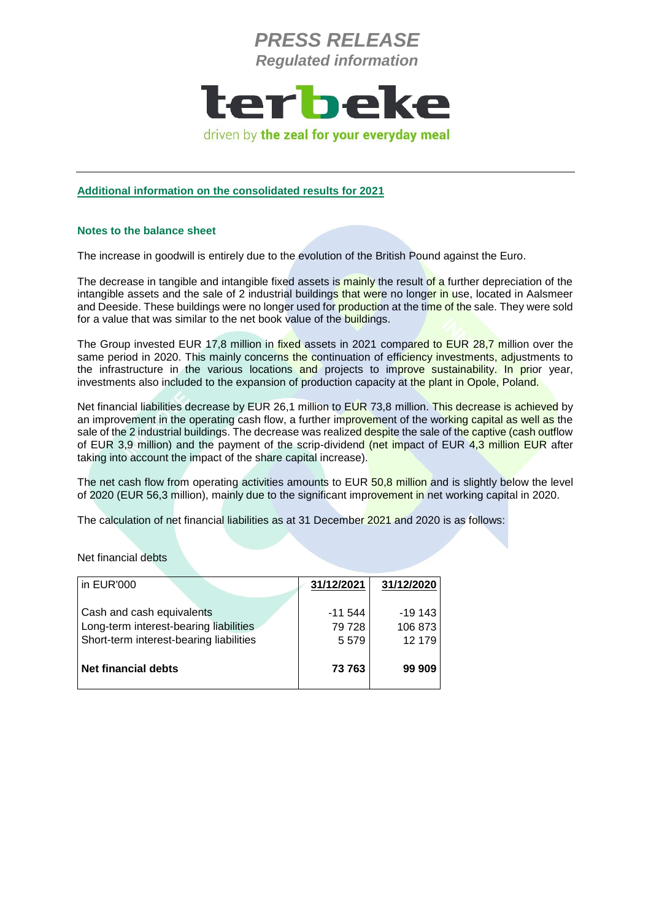

#### **Additional information on the consolidated results for 2021**

#### **Notes to the balance sheet**

The increase in goodwill is entirely due to the evolution of the British Pound against the Euro.

The decrease in tangible and intangible fixed assets is mainly the result of a further depreciation of the intangible assets and the sale of 2 industrial buildings that were no longer in use, located in Aalsmeer and Deeside. These buildings were no longer used for production at the time of the sale. They were sold for a value that was similar to the net book value of the buildings.

The Group invested EUR 17,8 million in fixed assets in 2021 compared to EUR 28,7 million over the same period in 2020. This mainly concerns the continuation of efficiency investments, adjustments to the infrastructure in the various locations and projects to improve sustainability. In prior year, investments also included to the expansion of production capacity at the plant in Opole, Poland.

Net financial liabilities decrease by EUR 26,1 million to EUR 73,8 million. This decrease is achieved by an improvement in the operating cash flow, a further improvement of the working capital as well as the sale of the 2 industrial buildings. The decrease was realized despite the sale of the captive (cash outflow of EUR 3,9 million) and the payment of the scrip-dividend (net impact of EUR 4,3 million EUR after taking into account the impact of the share capital increase).

The net cash flow from operating activities amounts to EUR 50,8 million and is slightly below the level of 2020 (EUR 56,3 million), mainly due to the significant improvement in net working capital in 2020.

The calculation of net financial liabilities as at 31 December 2021 and 2020 is as follows:

Net financial debts

| in EUR'000                                                                                                     | 31/12/2021                 | 31/12/2020                    |
|----------------------------------------------------------------------------------------------------------------|----------------------------|-------------------------------|
| Cash and cash equivalents<br>Long-term interest-bearing liabilities<br>Short-term interest-bearing liabilities | $-11544$<br>79 728<br>5579 | $-19143$<br>106 873<br>12 179 |
| <b>Net financial debts</b>                                                                                     | 73 763                     | 99 909                        |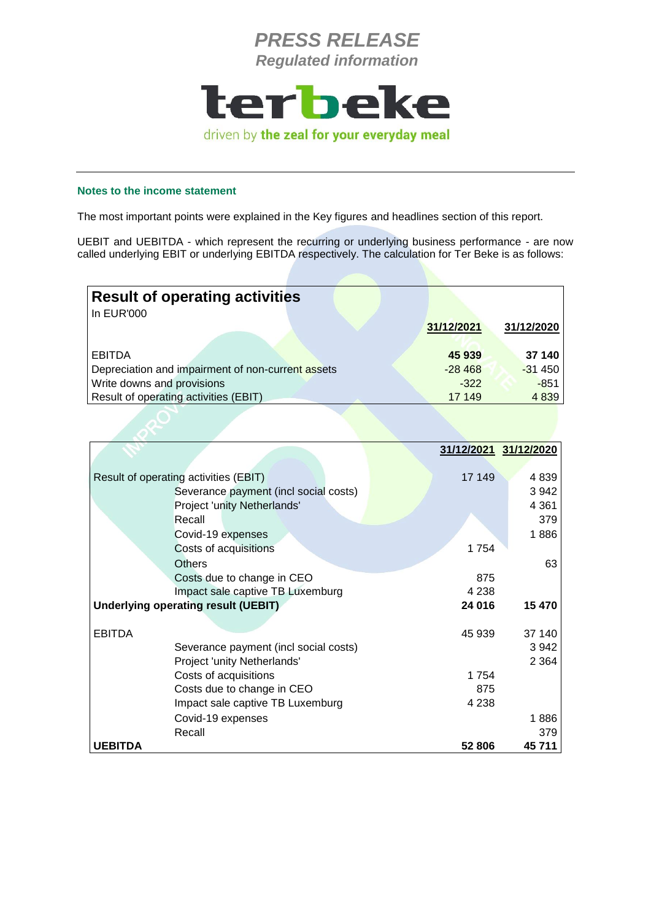

### **Notes to the income statement**

The most important points were explained in the Key figures and headlines section of this report.

UEBIT and UEBITDA - which represent the recurring or underlying business performance - are now called underlying EBIT or underlying EBITDA respectively. The calculation for Ter Beke is as follows:

| <b>Result of operating activities</b>             |            |            |
|---------------------------------------------------|------------|------------|
| In EUR'000                                        | 31/12/2021 | 31/12/2020 |
| <b>EBITDA</b>                                     | 45 939     | 37 140     |
| Depreciation and impairment of non-current assets | $-28468$   | $-31450$   |
| Write downs and provisions                        | $-322$     | $-851$     |
| Result of operating activities (EBIT)             | 17 149     | 4 8 3 9    |

|                |                                            |         | 31/12/2021 31/12/2020 |
|----------------|--------------------------------------------|---------|-----------------------|
|                |                                            |         |                       |
|                | Result of operating activities (EBIT)      | 17 149  | 4839                  |
|                | Severance payment (incl social costs)      |         | 3 9 4 2               |
|                | Project 'unity Netherlands'                |         | 4 3 6 1               |
|                | Recall                                     |         | 379                   |
|                | Covid-19 expenses                          |         | 1886                  |
|                | Costs of acquisitions                      | 1754    |                       |
|                | <b>Others</b>                              |         | 63                    |
|                | Costs due to change in CEO                 | 875     |                       |
|                | Impact sale captive TB Luxemburg           | 4 2 3 8 |                       |
|                | <b>Underlying operating result (UEBIT)</b> | 24 016  | 15 470                |
|                |                                            |         |                       |
| <b>EBITDA</b>  |                                            | 45 939  | 37 140                |
|                | Severance payment (incl social costs)      |         | 3942                  |
|                | Project 'unity Netherlands'                |         | 2 3 6 4               |
|                | Costs of acquisitions                      | 1754    |                       |
|                | Costs due to change in CEO                 | 875     |                       |
|                | Impact sale captive TB Luxemburg           | 4 2 3 8 |                       |
|                | Covid-19 expenses                          |         | 1886                  |
|                | Recall                                     |         | 379                   |
| <b>UEBITDA</b> |                                            | 52 806  | 45711                 |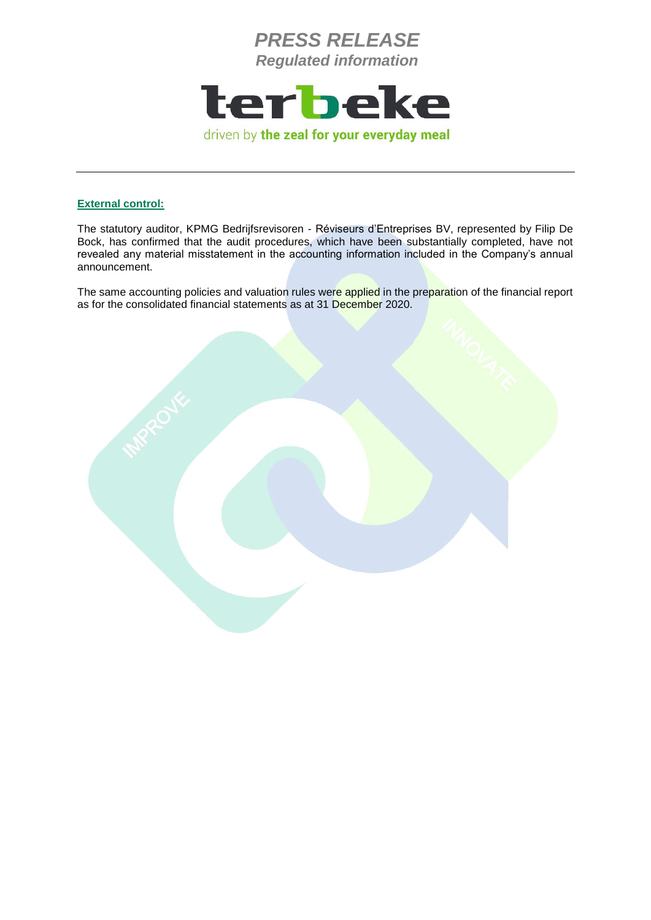

### **External control:**

The statutory auditor, KPMG Bedrijfsrevisoren - Réviseurs d'Entreprises BV, represented by Filip De Bock, has confirmed that the audit procedures, which have been substantially completed, have not revealed any material misstatement in the accounting information included in the Company's annual announcement.

The same accounting policies and valuation rules were applied in the preparation of the financial report as for the consolidated financial statements as at 31 December 2020.

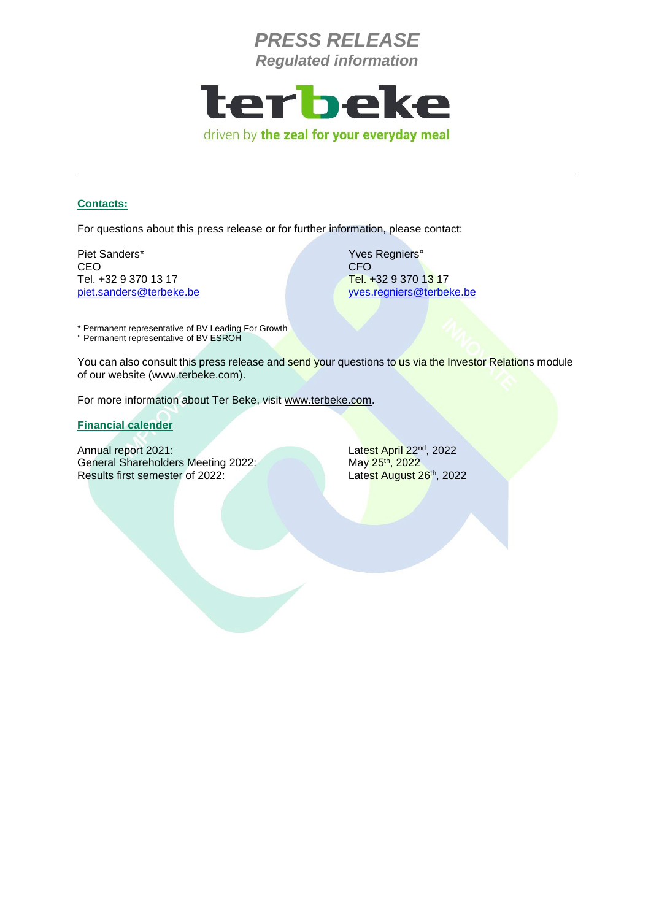

#### **Contacts:**

For questions about this press release or for further information, please contact:

Piet Sanders\* Yves Regniers° CEO CEO CHE ANNO 1999 - CEO CHE ANNO 1999 - CEO CHE ANNO 1999 - CEO CHE ANNO 1999 - CEO Tel. +32 9 370 13 17 Tel. +32 9 370 13 17

[piet.sanders@terbeke.be](mailto:piet.sanders@terbeke.be) [yves.regniers@terbeke.be](mailto:yves.regniers@terbeke.be)

\* Permanent representative of BV Leading For Growth ° Permanent representative of BV ESROH

You can also consult this press release and send your questions to us via the Investor Relations module of our website (www.terbeke.com).

For more information about Ter Beke, visit [www.terbeke.com.](http://www.terbeke.be/)

**Financial calender**

Annual report 2021: General Shareholders Meeting 2022: May 25<sup>th</sup>, 2022 Results first semester of 2022:

Latest April 22<sup>nd</sup>, 2022 Latest August 26th, 2022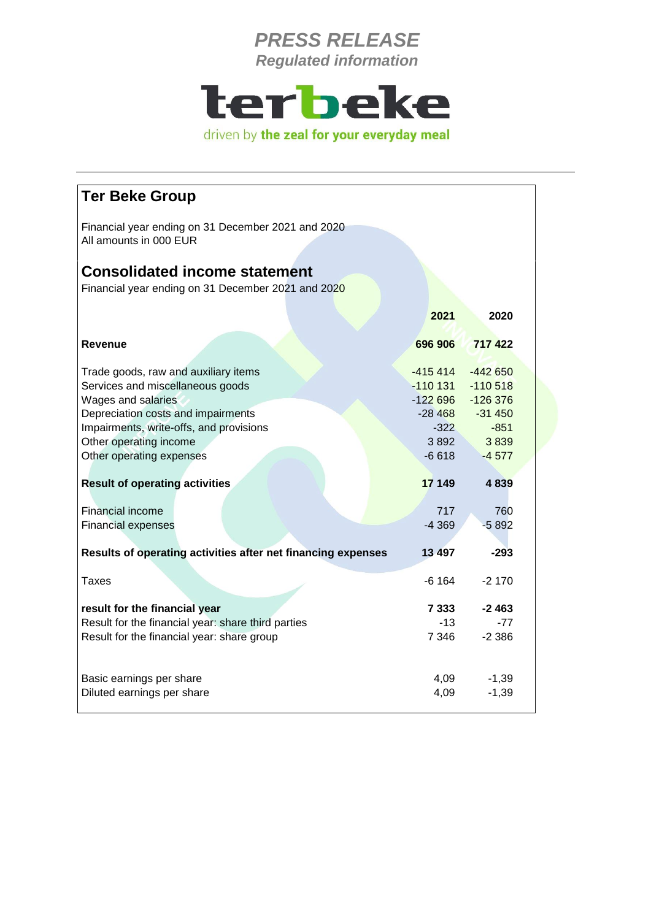

| <b>Ter Beke Group</b>                                                        |           |           |  |
|------------------------------------------------------------------------------|-----------|-----------|--|
| Financial year ending on 31 December 2021 and 2020<br>All amounts in 000 EUR |           |           |  |
| <b>Consolidated income statement</b>                                         |           |           |  |
| Financial year ending on 31 December 2021 and 2020                           |           |           |  |
|                                                                              | 2021      | 2020      |  |
| Revenue                                                                      | 696 906   | 717 422   |  |
| Trade goods, raw and auxiliary items                                         | $-415414$ | $-442650$ |  |
| Services and miscellaneous goods                                             | $-110131$ | $-110518$ |  |
| Wages and salaries                                                           | $-122696$ | $-126376$ |  |
| Depreciation costs and impairments                                           | $-28468$  | $-31450$  |  |
| Impairments, write-offs, and provisions                                      | $-322$    | $-851$    |  |
| Other operating income                                                       | 3892      | 3839      |  |
| Other operating expenses                                                     | $-6618$   | $-4577$   |  |
|                                                                              |           |           |  |
| <b>Result of operating activities</b>                                        | 17 149    | 4 8 3 9   |  |
| Financial income                                                             | 717       | 760       |  |
| <b>Financial expenses</b>                                                    | $-4369$   | $-5892$   |  |
|                                                                              |           |           |  |
| Results of operating activities after net financing expenses                 | 13 497    | $-293$    |  |
| Taxes                                                                        | -6 164    | $-2170$   |  |
| result for the financial year                                                | 7 3 3 3   | $-2463$   |  |
| Result for the financial year: share third parties                           | $-13$     | $-77$     |  |
| Result for the financial year: share group                                   | 7 3 4 6   | $-2.386$  |  |
|                                                                              |           |           |  |
| Basic earnings per share                                                     | 4,09      | $-1,39$   |  |
| Diluted earnings per share                                                   | 4,09      | $-1,39$   |  |
|                                                                              |           |           |  |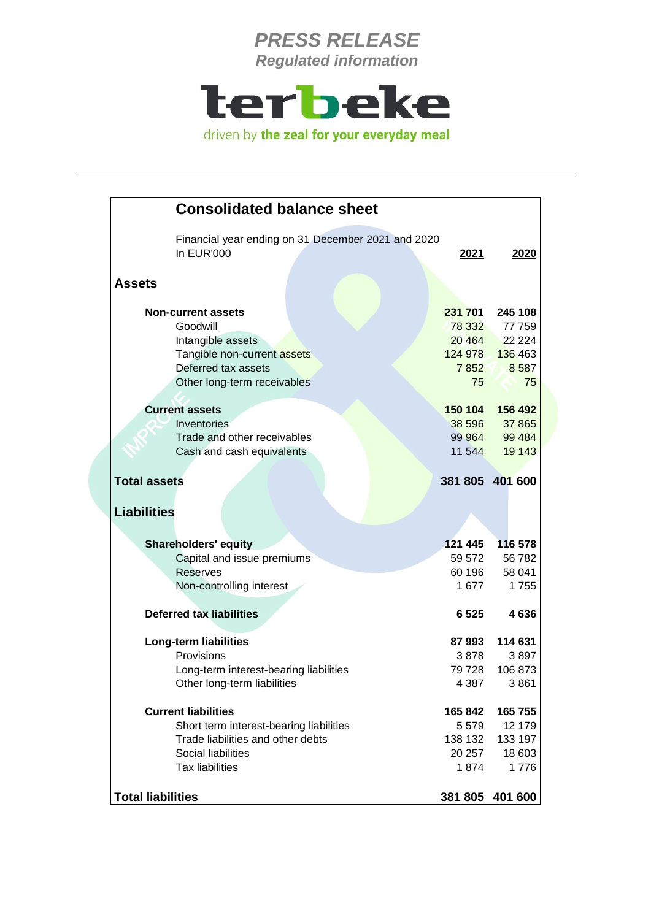

| <b>Consolidated balance sheet</b>                                       |         |                 |
|-------------------------------------------------------------------------|---------|-----------------|
| Financial year ending on 31 December 2021 and 2020<br><b>In EUR'000</b> | 2021    | 2020            |
| <b>Assets</b>                                                           |         |                 |
| <b>Non-current assets</b>                                               | 231 701 | 245 108         |
| Goodwill                                                                |         | 78 332 77 759   |
| Intangible assets                                                       | 20 4 64 | 22 2 2 4        |
| Tangible non-current assets                                             |         | 124 978 136 463 |
| Deferred tax assets                                                     | 7852    | 8587            |
| Other long-term receivables                                             | 75      | 75              |
| <b>Current assets</b>                                                   | 150 104 | 156 492         |
| Inventories                                                             | 38 596  | 37 865          |
| Trade and other receivables                                             | 99 964  | 99 4 84         |
| Cash and cash equivalents                                               | 11 544  | 19 143          |
| <b>Total assets</b>                                                     |         | 381 805 401 600 |
| <b>Liabilities</b>                                                      |         |                 |
|                                                                         |         |                 |
| <b>Shareholders' equity</b>                                             | 121 445 | 116 578         |
| Capital and issue premiums                                              | 59 572  | 56 782          |
| <b>Reserves</b>                                                         | 60 196  | 58 041          |
| Non-controlling interest                                                | 1 677   | 1755            |
| <b>Deferred tax liabilities</b>                                         | 6 5 25  | 4636            |
| <b>Long-term liabilities</b>                                            | 87993   | 114 631         |
| Provisions                                                              | 3878    | 3897            |
| Long-term interest-bearing liabilities                                  | 79 728  | 106 873         |
| Other long-term liabilities                                             | 4 3 8 7 | 3861            |
| <b>Current liabilities</b>                                              | 165 842 | 165 755         |
| Short term interest-bearing liabilities                                 | 5579    | 12 179          |
| Trade liabilities and other debts                                       | 138 132 | 133 197         |
| Social liabilities                                                      | 20 257  | 18 603          |
| <b>Tax liabilities</b>                                                  | 1874    | 1776            |
| <b>Total liabilities</b>                                                |         | 381 805 401 600 |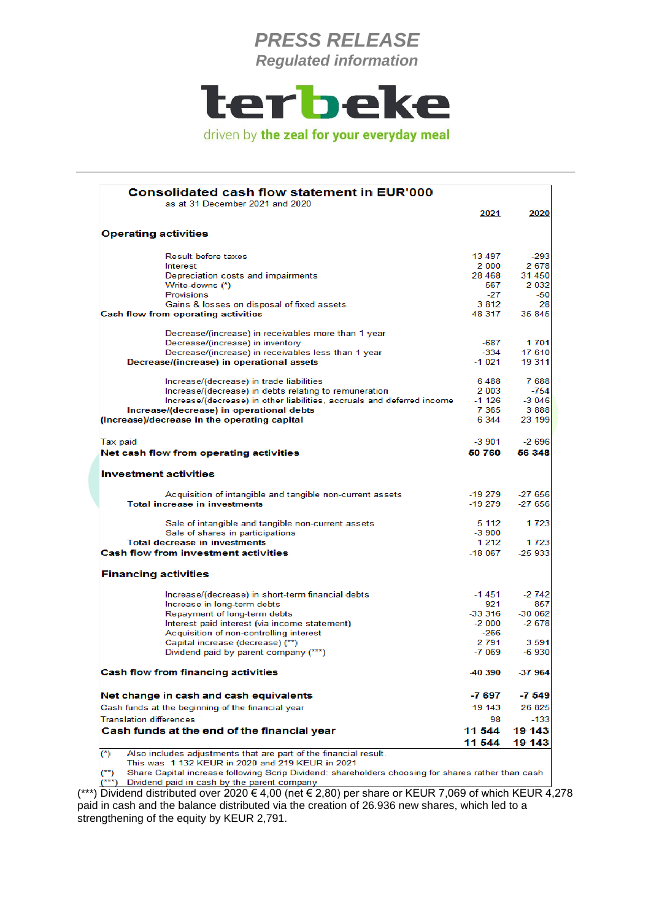

| as at 31 December 2021 and 2020                                                   | 2021             | 2020                                  |
|-----------------------------------------------------------------------------------|------------------|---------------------------------------|
| <b>Operating activities</b>                                                       |                  |                                       |
|                                                                                   |                  |                                       |
| <b>Result before taxes</b>                                                        | 13 497           | $-293$                                |
| Interest                                                                          | 2 000            | 2678                                  |
| Depreciation costs and impairments                                                | 28 4 68          | 31 450                                |
| Write-downs (*)<br><b>Provisions</b>                                              | 567              | 2 0 3 2                               |
|                                                                                   | $-27$<br>3 8 1 2 | $-50$<br>28                           |
| Gains & losses on disposal of fixed assets<br>Cash flow from operating activities | 48 317           | 35 845                                |
|                                                                                   |                  |                                       |
| Decrease/(increase) in receivables more than 1 year                               |                  |                                       |
| Decrease/(increase) in inventory                                                  | -687             | 1 701                                 |
| Decrease/(increase) in receivables less than 1 year                               | $-334$           | 17 610                                |
| Decrease/(increase) in operational assets                                         | $-1021$          | 19 311                                |
| Increase/(decrease) in trade liabilities                                          | 6488             | 7688                                  |
| Increase/(decrease) in debts relating to remuneration                             | 2 003            | $-754$                                |
| Increase/(decrease) in other liabilities, accruals and deferred income            | $-1126$          | $-3046$                               |
| Increase/(decrease) in operational debts                                          | 7 3 6 5          | 3888                                  |
| (Increase)/decrease in the operating capital                                      | 6 3 4 4          | 23 199                                |
| Tax paid                                                                          | $-3901$          | $-2696$                               |
| Net cash flow from operating activities                                           | 50 760           | 56 348                                |
|                                                                                   |                  |                                       |
| <b>Investment activities</b>                                                      |                  |                                       |
| Acquisition of intangible and tangible non-current assets                         | -19 279          | $-27656$                              |
| <b>Total increase in investments</b>                                              | -19 279          | $-27656$                              |
| Sale of intangible and tangible non-current assets                                | 5 1 1 2          | 1 7 2 3                               |
| Sale of shares in participations                                                  | $-3900$          |                                       |
| <b>Total decrease in investments</b>                                              | 1 2 1 2          | 1 723                                 |
| <b>Cash flow from investment activities</b>                                       | -18 067          | $-25933$                              |
| <b>Financing activities</b>                                                       |                  |                                       |
| Increase/(decrease) in short-term financial debts                                 | -1 451           | $-2742$                               |
| Increase in long-term debts                                                       | 921              | 857                                   |
| Repayment of long-term debts                                                      | -33 316          | $-300062$                             |
| Interest paid interest (via income statement)                                     | -2 000           | $-2678$                               |
| Acquisition of non-controlling interest                                           | -266             |                                       |
| Capital increase (decrease) (**)                                                  | 2 791            | 3 5 9 1                               |
|                                                                                   | $-7069$          | $-6930$                               |
| Dividend paid by parent company (***)                                             | -40 390          | -37 964                               |
| Cash flow from financing activities                                               |                  |                                       |
| Net change in cash and cash equivalents                                           | -7 697           |                                       |
| Cash funds at the beginning of the financial year                                 | 19 143           |                                       |
| <b>Translation differences</b>                                                    | 98               |                                       |
| Cash funds at the end of the financial year                                       | 11 544           | $-7549$<br>26 825<br>$-133$<br>19 143 |

(\*\*) Dividend paid in cash by the parent company<br>(\*\*\*) Dividend distributed over  $2020 \in 4,00$  (net  $\in 2,80$ ) per share or KEUR 7,069 of which KEUR 4,278 paid in cash and the balance distributed via the creation of 26.936 new shares, which led to a strengthening of the equity by KEUR 2,791.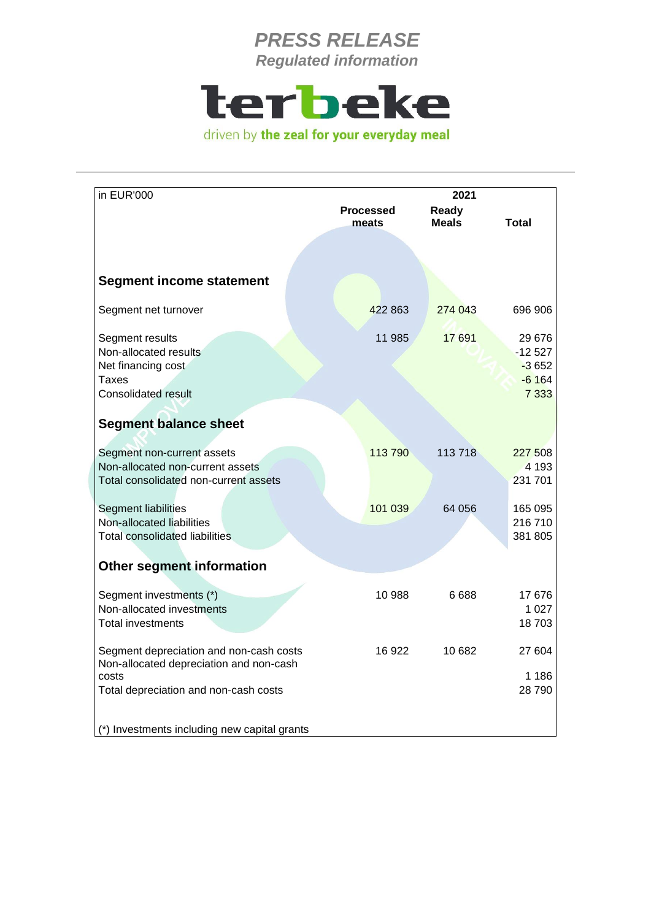

| in EUR'000                                                                                                                           | <b>Processed</b><br>meats | 2021<br>Ready<br><b>Meals</b> | <b>Total</b>                                        |
|--------------------------------------------------------------------------------------------------------------------------------------|---------------------------|-------------------------------|-----------------------------------------------------|
|                                                                                                                                      |                           |                               |                                                     |
|                                                                                                                                      |                           |                               |                                                     |
| <b>Segment income statement</b>                                                                                                      |                           |                               |                                                     |
| Segment net turnover                                                                                                                 | 422 863                   | 274 043                       | 696 906                                             |
| Segment results<br>Non-allocated results<br>Net financing cost<br><b>Taxes</b><br><b>Consolidated result</b>                         | 11 985                    | 17 691                        | 29 676<br>$-12527$<br>$-3652$<br>$-6164$<br>7 3 3 3 |
| <b>Segment balance sheet</b>                                                                                                         |                           |                               |                                                     |
| Segment non-current assets<br>Non-allocated non-current assets<br>Total consolidated non-current assets                              | 113790                    | 113718                        | 227 508<br>4 1 9 3<br>231 701                       |
| <b>Segment liabilities</b><br>Non-allocated liabilities<br><b>Total consolidated liabilities</b>                                     | 101 039                   | 64 056                        | 165 095<br>216 710<br>381 805                       |
| <b>Other segment information</b>                                                                                                     |                           |                               |                                                     |
| Segment investments (*)<br>Non-allocated investments<br><b>Total investments</b>                                                     | 10 988                    | 6688                          | 17676<br>1 0 2 7<br>18703                           |
| Segment depreciation and non-cash costs<br>Non-allocated depreciation and non-cash<br>costs<br>Total depreciation and non-cash costs | 16922                     | 10 682                        | 27 604<br>1 186<br>28 790                           |
| (*) Investments including new capital grants                                                                                         |                           |                               |                                                     |